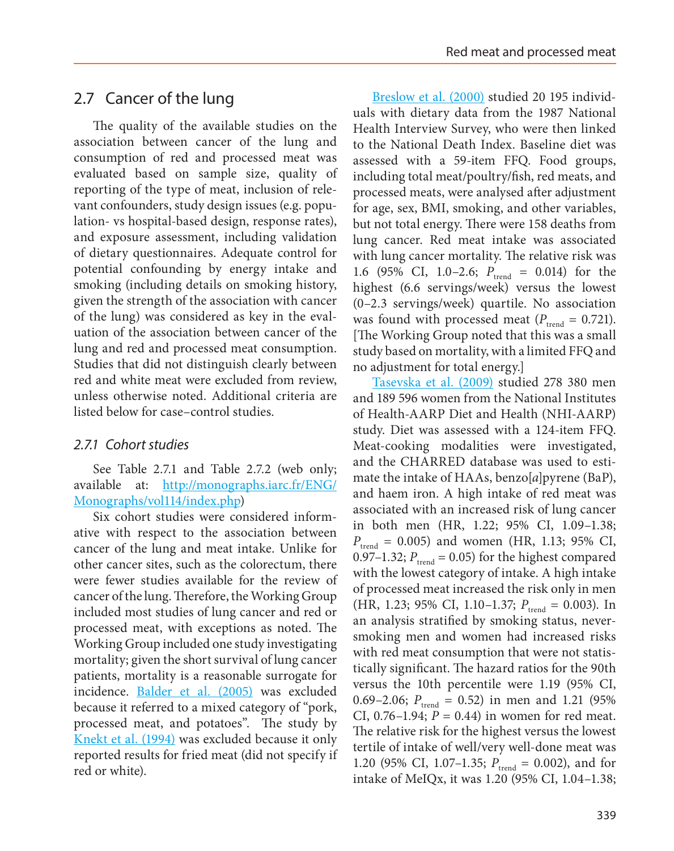# 2.7 Cancer of the lung

The quality of the available studies on the association between cancer of the lung and consumption of red and processed meat was evaluated based on sample size, quality of reporting of the type of meat, inclusion of relevant confounders, study design issues (e.g. population- vs hospital-based design, response rates), and exposure assessment, including validation of dietary questionnaires. Adequate control for potential confounding by energy intake and smoking (including details on smoking history, given the strength of the association with cancer of the lung) was considered as key in the evaluation of the association between cancer of the lung and red and processed meat consumption. Studies that did not distinguish clearly between red and white meat were excluded from review, unless otherwise noted. Additional criteria are listed below for case–control studies.

## *2.7.1 Cohort studies*

See Table 2.7.1 and Table 2.7.2 (web only; available at: [http://monographs.iarc.fr/ENG/](http://monographs.iarc.fr/ENG/Monographs/vol114/index.php) [Monographs/vol114/index.php](http://monographs.iarc.fr/ENG/Monographs/vol114/index.php))

Six cohort studies were considered informative with respect to the association between cancer of the lung and meat intake. Unlike for other cancer sites, such as the colorectum, there were fewer studies available for the review of cancer of the lung. Therefore, the Working Group included most studies of lung cancer and red or processed meat, with exceptions as noted. The Working Group included one study investigating mortality; given the short survival of lung cancer patients, mortality is a reasonable surrogate for incidence. [Balder et al. \(2005\)](#page-5-0) was excluded because it referred to a mixed category of "pork, processed meat, and potatoes". The study by [Knekt et al. \(1994\)](#page-5-1) was excluded because it only reported results for fried meat (did not specify if red or white).

[Breslow et al. \(2000\)](#page-5-2) studied 20 195 individuals with dietary data from the 1987 National Health Interview Survey, who were then linked to the National Death Index. Baseline diet was assessed with a 59-item FFQ. Food groups, including total meat/poultry/fish, red meats, and processed meats, were analysed after adjustment for age, sex, BMI, smoking, and other variables, but not total energy. There were 158 deaths from lung cancer. Red meat intake was associated with lung cancer mortality. The relative risk was 1.6 (95% CI, 1.0–2.6;  $P_{trend} = 0.014$ ) for the highest (6.6 servings/week) versus the lowest (0–2.3 servings/week) quartile. No association was found with processed meat ( $P_{\text{trend}} = 0.721$ ). [The Working Group noted that this was a small study based on mortality, with a limited FFQ and no adjustment for total energy.]

Tasevska et al. (2009) studied 278 380 men and 189 596 women from the National Institutes of Health-AARP Diet and Health (NHI-AARP) study. Diet was assessed with a 124-item FFQ. Meat-cooking modalities were investigated, and the CHARRED database was used to estimate the intake of HAAs, benzo[*a*]pyrene (BaP), and haem iron. A high intake of red meat was associated with an increased risk of lung cancer in both men (HR, 1.22; 95% CI, 1.09–1.38;  $P_{\text{trend}} = 0.005$ ) and women (HR, 1.13; 95% CI, 0.97–1.32;  $P_{\text{trend}} = 0.05$ ) for the highest compared with the lowest category of intake. A high intake of processed meat increased the risk only in men (HR, 1.23; 95% CI, 1.10–1.37;  $P_{\text{trend}} = 0.003$ ). In an analysis stratified by smoking status, neversmoking men and women had increased risks with red meat consumption that were not statistically significant. The hazard ratios for the 90th versus the 10th percentile were 1.19 (95% CI, 0.69–2.06;  $P_{\text{trend}} = 0.52$ ) in men and 1.21 (95%) CI, 0.76–1.94;  $P = 0.44$ ) in women for red meat. The relative risk for the highest versus the lowest tertile of intake of well/very well-done meat was 1.20 (95% CI, 1.07–1.35;  $P_{\text{trend}} = 0.002$ ), and for intake of MeIQx, it was 1.20 (95% CI, 1.04–1.38;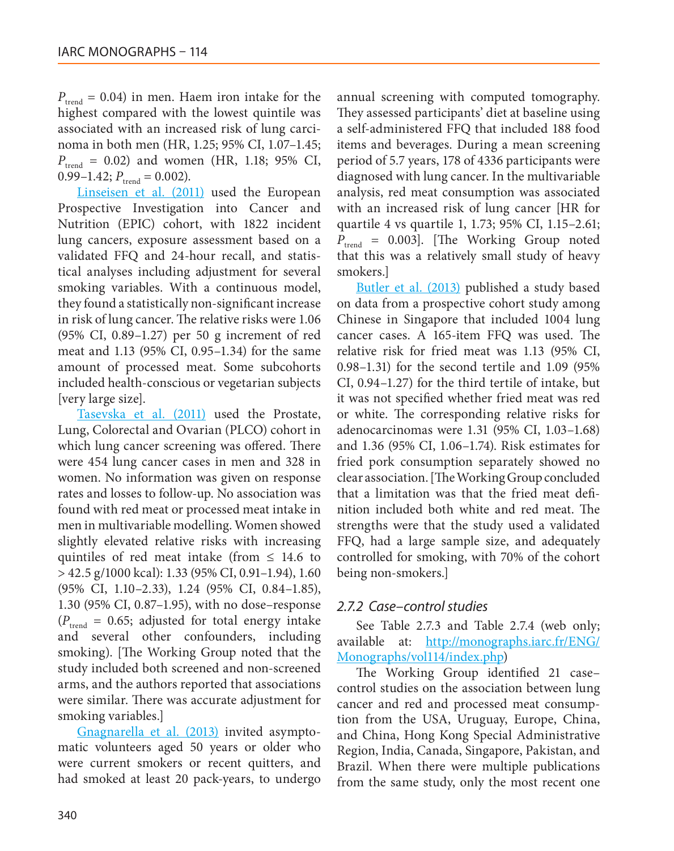$P_{\text{trend}} = 0.04$ ) in men. Haem iron intake for the highest compared with the lowest quintile was associated with an increased risk of lung carcinoma in both men (HR, 1.25; 95% CI, 1.07–1.45;  $P_{\text{trend}}$  = 0.02) and women (HR, 1.18; 95% CI,  $0.99-1.42; P_{trend} = 0.002$ .

[Linseisen et al. \(2011\)](#page-5-3) used the European Prospective Investigation into Cancer and Nutrition (EPIC) cohort, with 1822 incident lung cancers, exposure assessment based on a validated FFQ and 24-hour recall, and statistical analyses including adjustment for several smoking variables. With a continuous model, they found a statistically non-significant increase in risk of lung cancer. The relative risks were 1.06 (95% CI, 0.89–1.27) per 50 g increment of red meat and 1.13 (95% CI, 0.95–1.34) for the same amount of processed meat. Some subcohorts included health-conscious or vegetarian subjects [very large size].

[Tasevska et al. \(2011\)](#page-6-0) used the Prostate, Lung, Colorectal and Ovarian (PLCO) cohort in which lung cancer screening was offered. There were 454 lung cancer cases in men and 328 in women. No information was given on response rates and losses to follow-up. No association was found with red meat or processed meat intake in men in multivariable modelling. Women showed slightly elevated relative risks with increasing quintiles of red meat intake (from  $\leq$  14.6 to > 42.5 g/1000 kcal): 1.33 (95% CI, 0.91–1.94), 1.60 (95% CI, 1.10–2.33), 1.24 (95% CI, 0.84–1.85), 1.30 (95% CI, 0.87–1.95), with no dose–response  $(P_{\text{trend}} = 0.65;$  adjusted for total energy intake and several other confounders, including smoking). [The Working Group noted that the study included both screened and non-screened arms, and the authors reported that associations were similar. There was accurate adjustment for smoking variables.]

[Gnagnarella et al. \(2013\)](#page-5-4) invited asymptomatic volunteers aged 50 years or older who were current smokers or recent quitters, and had smoked at least 20 pack-years, to undergo

annual screening with computed tomography. They assessed participants' diet at baseline using a self-administered FFQ that included 188 food items and beverages. During a mean screening period of 5.7 years, 178 of 4336 participants were diagnosed with lung cancer. In the multivariable analysis, red meat consumption was associated with an increased risk of lung cancer [HR for quartile 4 vs quartile 1, 1.73; 95% CI, 1.15–2.61;  $P_{\text{trend}}$  = 0.003]. [The Working Group noted that this was a relatively small study of heavy smokers.]

[Butler et al. \(2013\)](#page-5-5) published a study based on data from a prospective cohort study among Chinese in Singapore that included 1004 lung cancer cases. A 165-item FFQ was used. The relative risk for fried meat was 1.13 (95% CI, 0.98–1.31) for the second tertile and 1.09 (95% CI, 0.94–1.27) for the third tertile of intake, but it was not specified whether fried meat was red or white. The corresponding relative risks for adenocarcinomas were 1.31 (95% CI, 1.03–1.68) and 1.36 (95% CI, 1.06–1.74). Risk estimates for fried pork consumption separately showed no clear association. [The Working Group concluded that a limitation was that the fried meat definition included both white and red meat. The strengths were that the study used a validated FFQ, had a large sample size, and adequately controlled for smoking, with 70% of the cohort being non-smokers.]

#### *2.7.2 Case–control studies*

See Table 2.7.3 and Table 2.7.4 (web only; available at: [http://monographs.iarc.fr/ENG/](http://monographs.iarc.fr/ENG/Monographs/vol114/index.php) [Monographs/vol114/index.php](http://monographs.iarc.fr/ENG/Monographs/vol114/index.php))

The Working Group identified 21 case– control studies on the association between lung cancer and red and processed meat consumption from the USA, Uruguay, Europe, China, and China, Hong Kong Special Administrative Region, India, Canada, Singapore, Pakistan, and Brazil. When there were multiple publications from the same study, only the most recent one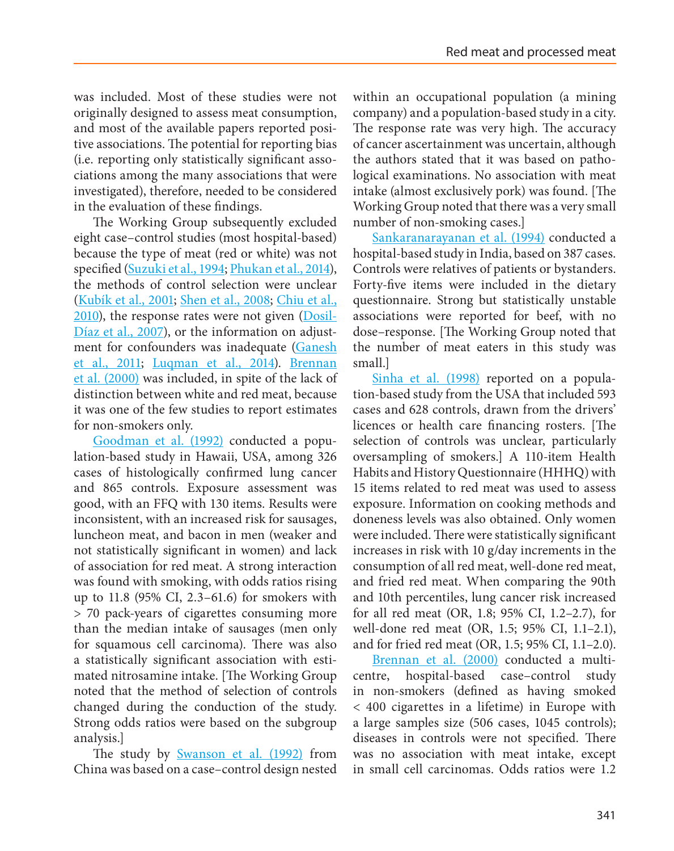was included. Most of these studies were not originally designed to assess meat consumption, and most of the available papers reported positive associations. The potential for reporting bias (i.e. reporting only statistically significant associations among the many associations that were investigated), therefore, needed to be considered in the evaluation of these findings.

The Working Group subsequently excluded eight case–control studies (most hospital-based) because the type of meat (red or white) was not specified [\(Suzuki et al., 1994](#page-6-1); [Phukan et al., 2014](#page-5-6)), the methods of control selection were unclear [\(Kubík et al., 2001](#page-5-7); [Shen et al., 2008;](#page-6-2) [Chiu et al.,](#page-5-8)  [2010\)](#page-5-8), the response rates were not given ([Dosil-](#page-5-9)[Díaz et al., 2007](#page-5-9)), or the information on adjustment for confounders was inadequate (Ganesh [et al., 2011](#page-5-10); [Luqman et al., 2014\)](#page-5-11). Brennan [et al. \(2000\)](#page-5-12) was included, in spite of the lack of distinction between white and red meat, because it was one of the few studies to report estimates for non-smokers only.

[Goodman et al. \(1992\)](#page-5-13) conducted a population-based study in Hawaii, USA, among 326 cases of histologically confirmed lung cancer and 865 controls. Exposure assessment was good, with an FFQ with 130 items. Results were inconsistent, with an increased risk for sausages, luncheon meat, and bacon in men (weaker and not statistically significant in women) and lack of association for red meat. A strong interaction was found with smoking, with odds ratios rising up to 11.8 (95% CI, 2.3–61.6) for smokers with > 70 pack-years of cigarettes consuming more than the median intake of sausages (men only for squamous cell carcinoma). There was also a statistically significant association with estimated nitrosamine intake. [The Working Group noted that the method of selection of controls changed during the conduction of the study. Strong odds ratios were based on the subgroup analysis.]

The study by <u>Swanson et al. (1992)</u> from China was based on a case–control design nested within an occupational population (a mining company) and a population-based study in a city. The response rate was very high. The accuracy of cancer ascertainment was uncertain, although the authors stated that it was based on pathological examinations. No association with meat intake (almost exclusively pork) was found. [The Working Group noted that there was a very small number of non-smoking cases.]

[Sankaranarayanan et al. \(1994\)](#page-6-4) conducted a hospital-based study in India, based on 387 cases. Controls were relatives of patients or bystanders. Forty-five items were included in the dietary questionnaire. Strong but statistically unstable associations were reported for beef, with no dose–response. [The Working Group noted that the number of meat eaters in this study was small.]

[Sinha et al. \(1998\)](#page-6-5) reported on a population-based study from the USA that included 593 cases and 628 controls, drawn from the drivers' licences or health care financing rosters. [The selection of controls was unclear, particularly oversampling of smokers.] A 110-item Health Habits and History Questionnaire (HHHQ) with 15 items related to red meat was used to assess exposure. Information on cooking methods and doneness levels was also obtained. Only women were included. There were statistically significant increases in risk with 10 g/day increments in the consumption of all red meat, well-done red meat, and fried red meat. When comparing the 90th and 10th percentiles, lung cancer risk increased for all red meat (OR, 1.8; 95% CI, 1.2–2.7), for well-done red meat (OR, 1.5; 95% CI, 1.1–2.1), and for fried red meat (OR, 1.5; 95% CI, 1.1–2.0).

[Brennan et al. \(2000\)](#page-5-12) conducted a multicentre, hospital-based case–control study in non-smokers (defined as having smoked < 400 cigarettes in a lifetime) in Europe with a large samples size (506 cases, 1045 controls); diseases in controls were not specified. There was no association with meat intake, except in small cell carcinomas. Odds ratios were 1.2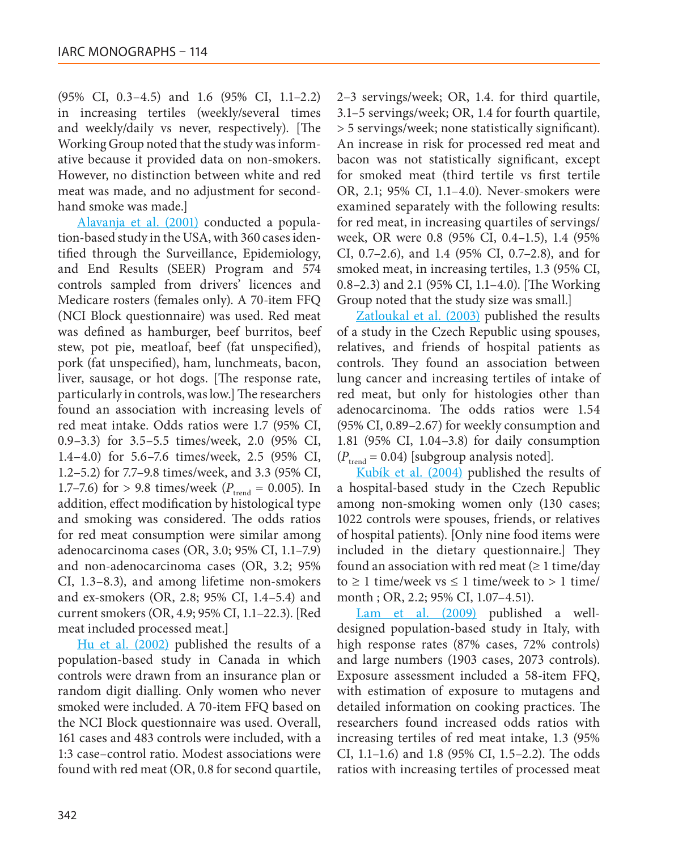(95% CI, 0.3–4.5) and 1.6 (95% CI, 1.1–2.2) in increasing tertiles (weekly/several times and weekly/daily vs never, respectively). [The Working Group noted that the study was informative because it provided data on non-smokers. However, no distinction between white and red meat was made, and no adjustment for secondhand smoke was made.]

[Alavanja et al. \(2001\)](#page-5-14) conducted a population-based study in the USA, with 360 cases identified through the Surveillance, Epidemiology, and End Results (SEER) Program and 574 controls sampled from drivers' licences and Medicare rosters (females only). A 70-item FFQ (NCI Block questionnaire) was used. Red meat was defined as hamburger, beef burritos, beef stew, pot pie, meatloaf, beef (fat unspecified), pork (fat unspecified), ham, lunchmeats, bacon, liver, sausage, or hot dogs. [The response rate, particularly in controls, was low.] The researchers found an association with increasing levels of red meat intake. Odds ratios were 1.7 (95% CI, 0.9–3.3) for 3.5–5.5 times/week, 2.0 (95% CI, 1.4–4.0) for 5.6–7.6 times/week, 2.5 (95% CI, 1.2–5.2) for 7.7–9.8 times/week, and 3.3 (95% CI, 1.7–7.6) for > 9.8 times/week ( $P_{\text{trend}} = 0.005$ ). In addition, effect modification by histological type and smoking was considered. The odds ratios for red meat consumption were similar among adenocarcinoma cases (OR, 3.0; 95% CI, 1.1–7.9) and non-adenocarcinoma cases (OR, 3.2; 95% CI, 1.3–8.3), and among lifetime non-smokers and ex-smokers (OR, 2.8; 95% CI, 1.4–5.4) and current smokers (OR, 4.9; 95% CI, 1.1–22.3). [Red meat included processed meat.]

[Hu et al. \(2002\)](#page-5-15) published the results of a population-based study in Canada in which controls were drawn from an insurance plan or random digit dialling. Only women who never smoked were included. A 70-item FFQ based on the NCI Block questionnaire was used. Overall, 161 cases and 483 controls were included, with a 1:3 case–control ratio. Modest associations were found with red meat (OR, 0.8 for second quartile,

2–3 servings/week; OR, 1.4. for third quartile, 3.1–5 servings/week; OR, 1.4 for fourth quartile, > 5 servings/week; none statistically significant). An increase in risk for processed red meat and bacon was not statistically significant, except for smoked meat (third tertile vs first tertile OR, 2.1; 95% CI, 1.1–4.0). Never-smokers were examined separately with the following results: for red meat, in increasing quartiles of servings/ week, OR were 0.8 (95% CI, 0.4–1.5), 1.4 (95% CI, 0.7–2.6), and 1.4 (95% CI, 0.7–2.8), and for smoked meat, in increasing tertiles, 1.3 (95% CI, 0.8–2.3) and 2.1 (95% CI, 1.1–4.0). [The Working Group noted that the study size was small.]

[Zatloukal et al. \(2003\)](#page-6-6) published the results of a study in the Czech Republic using spouses, relatives, and friends of hospital patients as controls. They found an association between lung cancer and increasing tertiles of intake of red meat, but only for histologies other than adenocarcinoma. The odds ratios were 1.54 (95% CI, 0.89–2.67) for weekly consumption and 1.81 (95% CI, 1.04–3.8) for daily consumption  $(P_{\text{trend}} = 0.04)$  [subgroup analysis noted].

[Kubík et al. \(2004\)](#page-5-16) published the results of a hospital-based study in the Czech Republic among non-smoking women only (130 cases; 1022 controls were spouses, friends, or relatives of hospital patients). [Only nine food items were included in the dietary questionnaire.] They found an association with red meat  $(\geq 1 \text{ time/day})$ to ≥ 1 time/week vs ≤ 1 time/week to > 1 time/ month ; OR, 2.2; 95% CI, 1.07–4.51).

[Lam et al. \(2009\)](#page-5-17) published a welldesigned population-based study in Italy, with high response rates (87% cases, 72% controls) and large numbers (1903 cases, 2073 controls). Exposure assessment included a 58-item FFQ, with estimation of exposure to mutagens and detailed information on cooking practices. The researchers found increased odds ratios with increasing tertiles of red meat intake, 1.3 (95% CI, 1.1–1.6) and 1.8 (95% CI, 1.5–2.2). The odds ratios with increasing tertiles of processed meat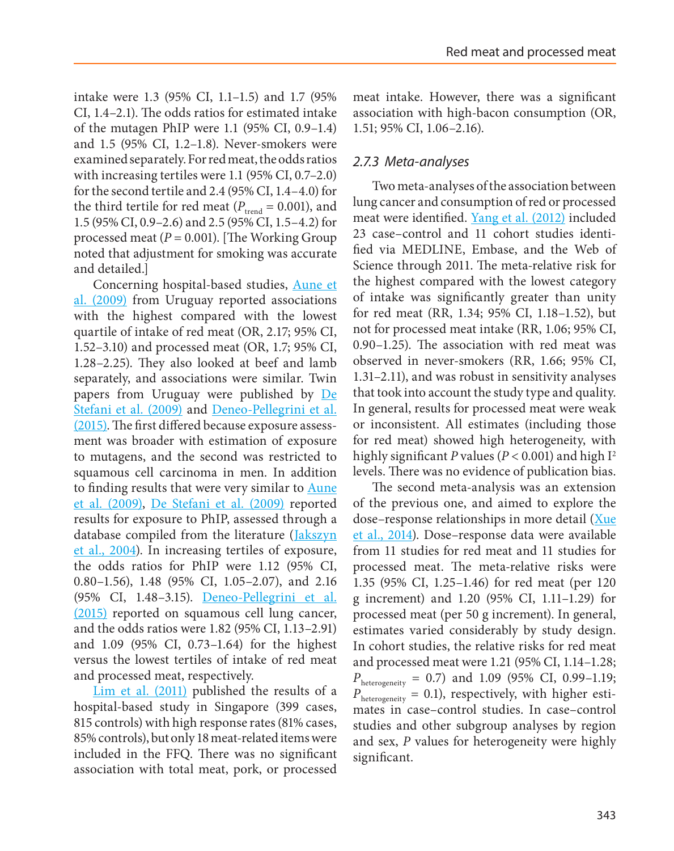intake were 1.3 (95% CI, 1.1–1.5) and 1.7 (95% CI, 1.4–2.1). The odds ratios for estimated intake of the mutagen PhIP were 1.1 (95% CI, 0.9–1.4) and 1.5 (95% CI, 1.2–1.8). Never-smokers were examined separately. For red meat, the odds ratios with increasing tertiles were 1.1 (95% CI, 0.7–2.0) for the second tertile and 2.4 (95% CI, 1.4–4.0) for the third tertile for red meat ( $P_{\text{trend}} = 0.001$ ), and 1.5 (95% CI, 0.9–2.6) and 2.5 (95% CI, 1.5–4.2) for processed meat  $(P = 0.001)$ . [The Working Group noted that adjustment for smoking was accurate and detailed.]

Concerning hospital-based studies, [Aune et](#page-5-18)  [al. \(2009\)](#page-5-18) from Uruguay reported associations with the highest compared with the lowest quartile of intake of red meat (OR, 2.17; 95% CI, 1.52–3.10) and processed meat (OR, 1.7; 95% CI, 1.28–2.25). They also looked at beef and lamb separately, and associations were similar. Twin papers from Uruguay were published by [De](#page-5-19)  [Stefani et al. \(2009\)](#page-5-19) and [Deneo-Pellegrini et al.](#page-5-20) [\(2015\)](#page-5-20). The first differed because exposure assessment was broader with estimation of exposure to mutagens, and the second was restricted to squamous cell carcinoma in men. In addition to finding results that were very similar to [Aune](#page-5-18)  [et al. \(2009\),](#page-5-18) [De Stefani et al. \(2009\)](#page-5-19) reported results for exposure to PhIP, assessed through a database compiled from the literature ([Jakszyn](#page-5-21)  [et al., 2004\)](#page-5-21). In increasing tertiles of exposure, the odds ratios for PhIP were 1.12 (95% CI, 0.80–1.56), 1.48 (95% CI, 1.05–2.07), and 2.16 (95% CI, 1.48–3.15). [Deneo-Pellegrini et al.](#page-5-20) [\(2015\)](#page-5-20) reported on squamous cell lung cancer, and the odds ratios were 1.82 (95% CI, 1.13–2.91) and 1.09 (95% CI, 0.73–1.64) for the highest versus the lowest tertiles of intake of red meat and processed meat, respectively.

[Lim et al. \(2011\)](#page-5-22) published the results of a hospital-based study in Singapore (399 cases, 815 controls) with high response rates (81% cases, 85% controls), but only 18 meat-related items were included in the FFQ. There was no significant association with total meat, pork, or processed meat intake. However, there was a significant association with high-bacon consumption (OR, 1.51; 95% CI, 1.06–2.16).

### *2.7.3 Meta-analyses*

Two meta-analyses of the association between lung cancer and consumption of red or processed meat were identified. [Yang et al. \(2012\)](#page-6-7) included 23 case–control and 11 cohort studies identified via MEDLINE, Embase, and the Web of Science through 2011. The meta-relative risk for the highest compared with the lowest category of intake was significantly greater than unity for red meat (RR, 1.34; 95% CI, 1.18–1.52), but not for processed meat intake (RR, 1.06; 95% CI, 0.90–1.25). The association with red meat was observed in never-smokers (RR, 1.66; 95% CI, 1.31–2.11), and was robust in sensitivity analyses that took into account the study type and quality. In general, results for processed meat were weak or inconsistent. All estimates (including those for red meat) showed high heterogeneity, with highly significant *P* values ( $P < 0.001$ ) and high I<sup>2</sup> levels. There was no evidence of publication bias.

The second meta-analysis was an extension of the previous one, and aimed to explore the dose–response relationships in more detail [\(Xue](#page-6-8) [et al., 2014\)](#page-6-8). Dose–response data were available from 11 studies for red meat and 11 studies for processed meat. The meta-relative risks were 1.35 (95% CI, 1.25–1.46) for red meat (per 120 g increment) and 1.20 (95% CI, 1.11–1.29) for processed meat (per 50 g increment). In general, estimates varied considerably by study design. In cohort studies, the relative risks for red meat and processed meat were 1.21 (95% CI, 1.14–1.28;  $P_{\text{heterogeneity}} = 0.7$ ) and 1.09 (95% CI, 0.99–1.19;  $P_{\text{heterogeneity}} = 0.1$ ), respectively, with higher estimates in case–control studies. In case–control studies and other subgroup analyses by region and sex, *P* values for heterogeneity were highly significant.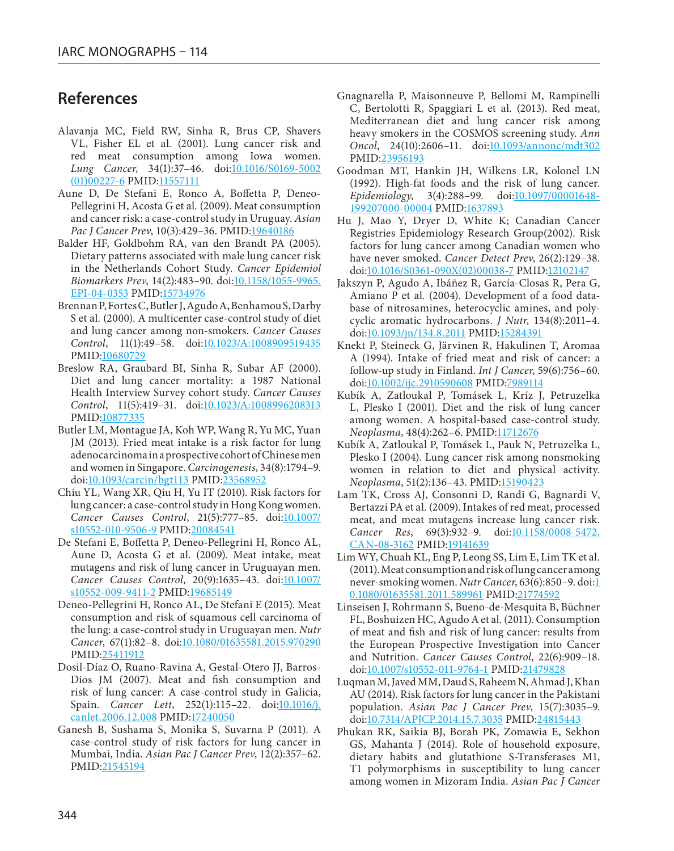## **References**

- <span id="page-5-14"></span>Alavanja MC, Field RW, Sinha R, Brus CP, Shavers VL, Fisher EL et al*.* (2001). Lung cancer risk and red meat consumption among Iowa women. Lung Cancer, 34(1):37-46. doi[:10.1016/S0169-5002](http://dx.doi.org/10.1016/S0169-5002(01)00227-6) [\(01\)00227-6](http://dx.doi.org/10.1016/S0169-5002(01)00227-6) PMID[:11557111](http://www.ncbi.nlm.nih.gov/pubmed/11557111)
- <span id="page-5-18"></span>Aune D, De Stefani E, Ronco A, Boffetta P, Deneo-Pellegrini H, Acosta G et al*.* (2009). Meat consumption and cancer risk: a case-control study in Uruguay. *Asian Pac J Cancer Prev*, 10(3):429–36. PMID[:19640186](http://www.ncbi.nlm.nih.gov/pubmed/19640186)
- <span id="page-5-0"></span>Balder HF, Goldbohm RA, van den Brandt PA (2005). Dietary patterns associated with male lung cancer risk in the Netherlands Cohort Study. *Cancer Epidemiol*  Biomarkers Prev, 14(2):483-90. doi:*10.1158*/1055-9965. [EPI-04-0353](http://dx.doi.org/10.1158/1055-9965.EPI-04-0353) PMID[:15734976](http://www.ncbi.nlm.nih.gov/pubmed/15734976)
- <span id="page-5-12"></span>Brennan P, Fortes C, Butler J, Agudo A, Benhamou S, Darby S et al*.* (2000). A multicenter case-control study of diet and lung cancer among non-smokers. *Cancer Causes Control*, 11(1):49–58. doi[:10.1023/A:1008909519435](http://dx.doi.org/10.1023/A:1008909519435) PMID[:10680729](http://www.ncbi.nlm.nih.gov/pubmed/10680729)
- <span id="page-5-2"></span>Breslow RA, Graubard BI, Sinha R, Subar AF (2000). Diet and lung cancer mortality: a 1987 National Health Interview Survey cohort study. *Cancer Causes Control*, 11(5):419–31. doi[:10.1023/A:1008996208313](http://dx.doi.org/10.1023/A:1008996208313) PMID[:10877335](http://www.ncbi.nlm.nih.gov/pubmed/10877335)
- <span id="page-5-5"></span>Butler LM, Montague JA, Koh WP, Wang R, Yu MC, Yuan JM (2013). Fried meat intake is a risk factor for lung adenocarcinoma in a prospective cohort of Chinese men and women in Singapore. *Carcinogenesis*, 34(8):1794–9. doi[:10.1093/carcin/bgt113](http://dx.doi.org/10.1093/carcin/bgt113) PMID:[23568952](http://www.ncbi.nlm.nih.gov/pubmed/23568952)
- <span id="page-5-8"></span>Chiu YL, Wang XR, Qiu H, Yu IT (2010). Risk factors for lung cancer: a case-control study in Hong Kong women. Cancer Causes Control, 21(5):777-85. doi[:10.1007/](http://dx.doi.org/10.1007/s10552-010-9506-9) [s10552-010-9506-9](http://dx.doi.org/10.1007/s10552-010-9506-9) PMID:[20084541](http://www.ncbi.nlm.nih.gov/pubmed/20084541)
- <span id="page-5-19"></span>De Stefani E, Boffetta P, Deneo-Pellegrini H, Ronco AL, Aune D, Acosta G et al*.* (2009). Meat intake, meat mutagens and risk of lung cancer in Uruguayan men. *Cancer Causes Control*, 20(9):1635–43. doi[:10.1007/](http://dx.doi.org/10.1007/s10552-009-9411-2) [s10552-009-9411-2](http://dx.doi.org/10.1007/s10552-009-9411-2) PMID[:19685149](http://www.ncbi.nlm.nih.gov/pubmed/19685149)
- <span id="page-5-20"></span>Deneo-Pellegrini H, Ronco AL, De Stefani E (2015). Meat consumption and risk of squamous cell carcinoma of the lung: a case-control study in Uruguayan men. *Nutr Cancer*, 67(1):82–8. doi:[10.1080/01635581.2015.970290](http://dx.doi.org/10.1080/01635581.2015.970290) PMID[:25411912](http://www.ncbi.nlm.nih.gov/pubmed/25411912)
- <span id="page-5-9"></span>Dosil-Díaz O, Ruano-Ravina A, Gestal-Otero JJ, Barros-Dios JM (2007). Meat and fish consumption and risk of lung cancer: A case-control study in Galicia, Spain. *Cancer Lett*, 252(1):115–22. doi[:10.1016/j.](http://dx.doi.org/10.1016/j.canlet.2006.12.008) [canlet.2006.12.008](http://dx.doi.org/10.1016/j.canlet.2006.12.008) PMID:[17240050](http://www.ncbi.nlm.nih.gov/pubmed/17240050)
- <span id="page-5-10"></span>Ganesh B, Sushama S, Monika S, Suvarna P (2011). A case-control study of risk factors for lung cancer in Mumbai, India. *Asian Pac J Cancer Prev*, 12(2):357–62. PMID[:21545194](http://www.ncbi.nlm.nih.gov/pubmed/21545194)
- <span id="page-5-4"></span>Gnagnarella P, Maisonneuve P, Bellomi M, Rampinelli C, Bertolotti R, Spaggiari L et al*.* (2013). Red meat, Mediterranean diet and lung cancer risk among heavy smokers in the COSMOS screening study. *Ann Oncol*, 24(10):2606–11. doi[:10.1093/annonc/mdt302](http://dx.doi.org/10.1093/annonc/mdt302) PMID:[23956193](http://www.ncbi.nlm.nih.gov/pubmed/23956193)
- <span id="page-5-13"></span>Goodman MT, Hankin JH, Wilkens LR, Kolonel LN (1992). High-fat foods and the risk of lung cancer. *Epidemiology*, 3(4):288–99. doi[:10.1097/00001648-](http://dx.doi.org/10.1097/00001648-199207000-00004) [199207000-00004](http://dx.doi.org/10.1097/00001648-199207000-00004) PMID[:1637893](http://www.ncbi.nlm.nih.gov/pubmed/1637893)
- <span id="page-5-15"></span>Hu J, Mao Y, Dryer D, White K; Canadian Cancer Registries Epidemiology Research Group(2002). Risk factors for lung cancer among Canadian women who have never smoked. *Cancer Detect Prev*, 26(2):129–38. doi[:10.1016/S0361-090X\(02\)00038-7](http://dx.doi.org/10.1016/S0361-090X(02)00038-7) PMID[:12102147](http://www.ncbi.nlm.nih.gov/pubmed/12102147)
- <span id="page-5-21"></span>Jakszyn P, Agudo A, Ibáñez R, García-Closas R, Pera G, Amiano P et al*.* (2004). Development of a food database of nitrosamines, heterocyclic amines, and polycyclic aromatic hydrocarbons. *J Nutr*, 134(8):2011–4. doi[:10.1093/jn/134.8.2011](http://dx.doi.org/10.1093/jn/134.8.2011) PMID[:15284391](http://www.ncbi.nlm.nih.gov/pubmed/15284391)
- <span id="page-5-1"></span>Knekt P, Steineck G, Järvinen R, Hakulinen T, Aromaa A (1994). Intake of fried meat and risk of cancer: a follow-up study in Finland. *Int J Cancer*, 59(6):756–60. doi[:10.1002/ijc.2910590608](http://dx.doi.org/10.1002/ijc.2910590608) PMID:[7989114](http://www.ncbi.nlm.nih.gov/pubmed/7989114)
- <span id="page-5-7"></span>Kubík A, Zatloukal P, Tomásek L, Kríz J, Petruzelka L, Plesko I (2001). Diet and the risk of lung cancer among women. A hospital-based case-control study. *Neoplasma*, 48(4):262–6. PMID[:11712676](http://www.ncbi.nlm.nih.gov/pubmed/11712676)
- <span id="page-5-16"></span>Kubík A, Zatloukal P, Tomásek L, Pauk N, Petruzelka L, Plesko I (2004). Lung cancer risk among nonsmoking women in relation to diet and physical activity. *Neoplasma*, 51(2):136–43. PMID[:15190423](http://www.ncbi.nlm.nih.gov/pubmed/15190423)
- <span id="page-5-17"></span>Lam TK, Cross AJ, Consonni D, Randi G, Bagnardi V, Bertazzi PA et al*.* (2009). Intakes of red meat, processed meat, and meat mutagens increase lung cancer risk. *Cancer Res*, 69(3):932–9. doi:[10.1158/0008-5472.](http://dx.doi.org/10.1158/0008-5472.CAN-08-3162) [CAN-08-3162](http://dx.doi.org/10.1158/0008-5472.CAN-08-3162) PMID[:19141639](http://www.ncbi.nlm.nih.gov/pubmed/19141639)
- <span id="page-5-22"></span>Lim WY, Chuah KL, Eng P, Leong SS, Lim E, Lim TK et al*.* (2011). Meat consumption and risk of lung cancer among never-smoking women. *Nutr Cancer*, 63(6):850–9. doi[:1](http://dx.doi.org/10.1080/01635581.2011.589961) [0.1080/01635581.2011.589961](http://dx.doi.org/10.1080/01635581.2011.589961) PMID[:21774592](http://www.ncbi.nlm.nih.gov/pubmed/21774592)
- <span id="page-5-3"></span>Linseisen J, Rohrmann S, Bueno-de-Mesquita B, Büchner FL, Boshuizen HC, Agudo A et al*.* (2011). Consumption of meat and fish and risk of lung cancer: results from the European Prospective Investigation into Cancer and Nutrition. *Cancer Causes Control*, 22(6):909–18. doi[:10.1007/s10552-011-9764-1](http://dx.doi.org/10.1007/s10552-011-9764-1) PMID:[21479828](http://www.ncbi.nlm.nih.gov/pubmed/21479828)
- <span id="page-5-11"></span>Luqman M, Javed MM, Daud S, Raheem N, Ahmad J, Khan AU (2014). Risk factors for lung cancer in the Pakistani population. *Asian Pac J Cancer Prev*, 15(7):3035–9. doi[:10.7314/APJCP.2014.15.7.3035](http://dx.doi.org/10.7314/APJCP.2014.15.7.3035) PMID[:24815443](http://www.ncbi.nlm.nih.gov/pubmed/24815443)
- <span id="page-5-6"></span>Phukan RK, Saikia BJ, Borah PK, Zomawia E, Sekhon GS, Mahanta J (2014). Role of household exposure, dietary habits and glutathione S-Transferases M1, T1 polymorphisms in susceptibility to lung cancer among women in Mizoram India. *Asian Pac J Cancer*